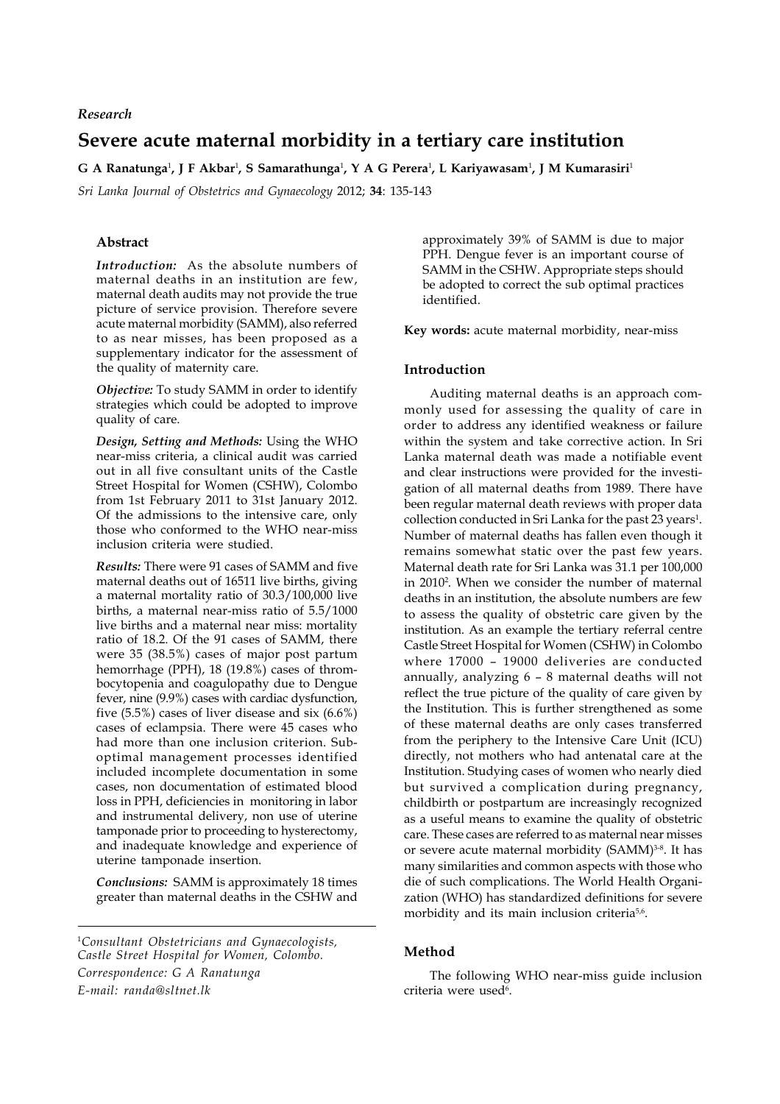## *Research*

# **Severe acute maternal morbidity in a tertiary care institution**

**G A Ranatunga**<sup>1</sup> **, J F Akbar**<sup>1</sup> **, S Samarathunga**<sup>1</sup> **, Y A G Perera**<sup>1</sup> **, L Kariyawasam**<sup>1</sup> **, J M Kumarasiri**<sup>1</sup>

*Sri Lanka Journal of Obstetrics and Gynaecology* 2012; **34**: 135-143

# **Abstract**

*Introduction:* As the absolute numbers of maternal deaths in an institution are few, maternal death audits may not provide the true picture of service provision. Therefore severe acute maternal morbidity (SAMM), also referred to as near misses, has been proposed as a supplementary indicator for the assessment of the quality of maternity care.

*Objective:* To study SAMM in order to identify strategies which could be adopted to improve quality of care.

*Design, Setting and Methods:* Using the WHO near-miss criteria, a clinical audit was carried out in all five consultant units of the Castle Street Hospital for Women (CSHW), Colombo from 1st February 2011 to 31st January 2012. Of the admissions to the intensive care, only those who conformed to the WHO near-miss inclusion criteria were studied.

*Results:* There were 91 cases of SAMM and five maternal deaths out of 16511 live births, giving a maternal mortality ratio of 30.3/100,000 live births, a maternal near-miss ratio of 5.5/1000 live births and a maternal near miss: mortality ratio of 18.2. Of the 91 cases of SAMM, there were 35 (38.5%) cases of major post partum hemorrhage (PPH), 18 (19.8%) cases of thrombocytopenia and coagulopathy due to Dengue fever, nine (9.9%) cases with cardiac dysfunction, five (5.5%) cases of liver disease and six (6.6%) cases of eclampsia. There were 45 cases who had more than one inclusion criterion. Suboptimal management processes identified included incomplete documentation in some cases, non documentation of estimated blood loss in PPH, deficiencies in monitoring in labor and instrumental delivery, non use of uterine tamponade prior to proceeding to hysterectomy, and inadequate knowledge and experience of uterine tamponade insertion.

*Conclusions:* SAMM is approximately 18 times greater than maternal deaths in the CSHW and approximately 39% of SAMM is due to major PPH. Dengue fever is an important course of SAMM in the CSHW. Appropriate steps should be adopted to correct the sub optimal practices identified.

**Key words:** acute maternal morbidity, near-miss

## **Introduction**

Auditing maternal deaths is an approach commonly used for assessing the quality of care in order to address any identified weakness or failure within the system and take corrective action. In Sri Lanka maternal death was made a notifiable event and clear instructions were provided for the investigation of all maternal deaths from 1989. There have been regular maternal death reviews with proper data collection conducted in Sri Lanka for the past 23 years<sup>1</sup>. Number of maternal deaths has fallen even though it remains somewhat static over the past few years. Maternal death rate for Sri Lanka was 31.1 per 100,000 in 20102 . When we consider the number of maternal deaths in an institution, the absolute numbers are few to assess the quality of obstetric care given by the institution. As an example the tertiary referral centre Castle Street Hospital for Women (CSHW) in Colombo where 17000 – 19000 deliveries are conducted annually, analyzing 6 – 8 maternal deaths will not reflect the true picture of the quality of care given by the Institution. This is further strengthened as some of these maternal deaths are only cases transferred from the periphery to the Intensive Care Unit (ICU) directly, not mothers who had antenatal care at the Institution. Studying cases of women who nearly died but survived a complication during pregnancy, childbirth or postpartum are increasingly recognized as a useful means to examine the quality of obstetric care. These cases are referred to as maternal near misses or severe acute maternal morbidity (SAMM)<sup>3-8</sup>. It has many similarities and common aspects with those who die of such complications. The World Health Organization (WHO) has standardized definitions for severe morbidity and its main inclusion criteria<sup>5,6</sup>.

## **Method**

The following WHO near-miss guide inclusion criteria were used<sup>6</sup>.

<sup>1</sup> *Consultant Obstetricians and Gynaecologists, Castle Street Hospital for Women, Colombo. Correspondence: G A Ranatunga E-mail: randa@sltnet.lk*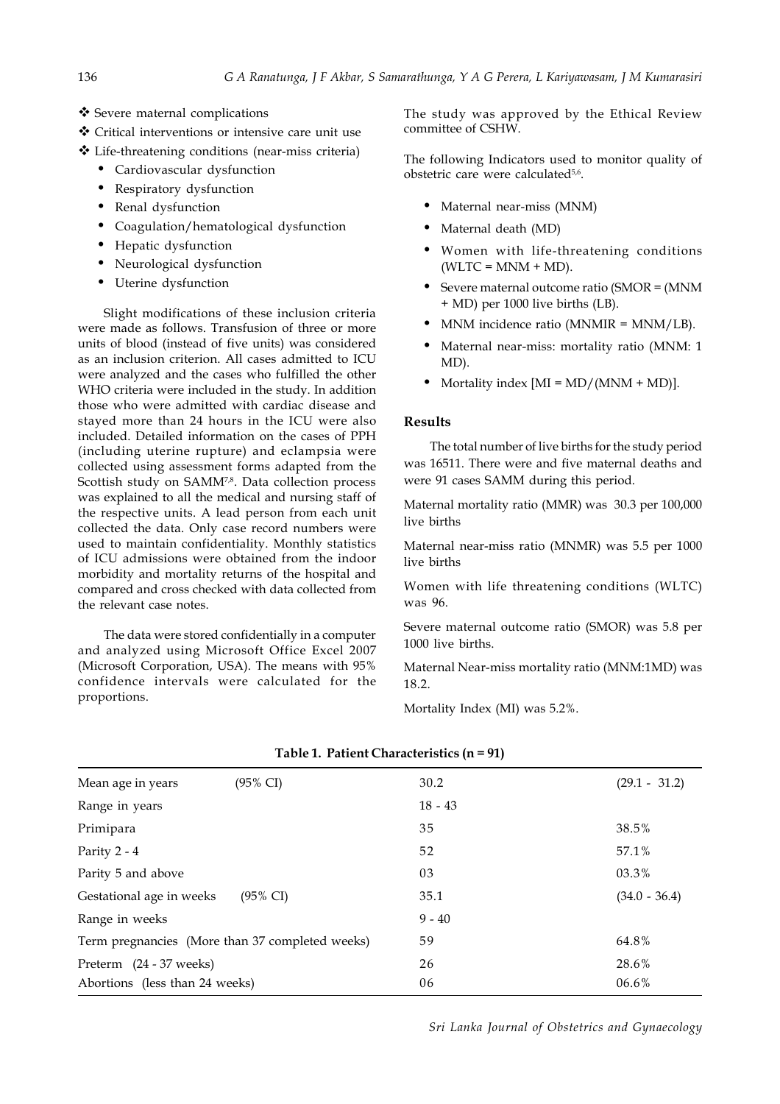- ❖ Severe maternal complications
- Critical interventions or intensive care unit use
- Life-threatening conditions (near-miss criteria)
	- Cardiovascular dysfunction
	- Respiratory dysfunction
	- Renal dysfunction
	- Coagulation/hematological dysfunction
	- Hepatic dysfunction
	- Neurological dysfunction
	- Uterine dysfunction

Slight modifications of these inclusion criteria were made as follows. Transfusion of three or more units of blood (instead of five units) was considered as an inclusion criterion. All cases admitted to ICU were analyzed and the cases who fulfilled the other WHO criteria were included in the study. In addition those who were admitted with cardiac disease and stayed more than 24 hours in the ICU were also included. Detailed information on the cases of PPH (including uterine rupture) and eclampsia were collected using assessment forms adapted from the Scottish study on SAMM<sup>7,8</sup>. Data collection process was explained to all the medical and nursing staff of the respective units. A lead person from each unit collected the data. Only case record numbers were used to maintain confidentiality. Monthly statistics of ICU admissions were obtained from the indoor morbidity and mortality returns of the hospital and compared and cross checked with data collected from the relevant case notes.

The data were stored confidentially in a computer and analyzed using Microsoft Office Excel 2007 (Microsoft Corporation, USA). The means with 95% confidence intervals were calculated for the proportions.

The study was approved by the Ethical Review committee of CSHW.

The following Indicators used to monitor quality of obstetric care were calculated<sup>5,6</sup>.

- Maternal near-miss (MNM)
- Maternal death (MD)
- Women with life-threatening conditions  $(WLTC = MNM + MD).$
- Severe maternal outcome ratio (SMOR = (MNM + MD) per 1000 live births (LB).
- MNM incidence ratio (MNMIR = MNM/LB).
- Maternal near-miss: mortality ratio (MNM: 1 MD).
- Mortality index  $[MI = MD/(MNM + MD)$ ].

## **Results**

The total number of live births for the study period was 16511. There were and five maternal deaths and were 91 cases SAMM during this period.

Maternal mortality ratio (MMR) was 30.3 per 100,000 live births

Maternal near-miss ratio (MNMR) was 5.5 per 1000 live births

Women with life threatening conditions (WLTC) was 96.

Severe maternal outcome ratio (SMOR) was 5.8 per 1000 live births.

Maternal Near-miss mortality ratio (MNM:1MD) was 18.2.

Mortality Index (MI) was 5.2%.

| Mean age in years                               | $(95\% \text{ CI})$ | 30.2      | $(29.1 - 31.2)$ |
|-------------------------------------------------|---------------------|-----------|-----------------|
| Range in years                                  |                     | $18 - 43$ |                 |
| Primipara                                       |                     | 35        | 38.5%           |
| Parity 2 - 4                                    |                     | 52        | 57.1%           |
| Parity 5 and above                              |                     | 03        | 03.3%           |
| Gestational age in weeks                        | $(95\% \text{ CI})$ | 35.1      | $(34.0 - 36.4)$ |
| Range in weeks                                  |                     | $9 - 40$  |                 |
| Term pregnancies (More than 37 completed weeks) |                     | 59        | 64.8%           |
| Preterm (24 - 37 weeks)                         |                     | 26        | 28.6%           |
| Abortions (less than 24 weeks)                  |                     | 06        | 06.6%           |

# **Table 1. Patient Characteristics (n = 91)**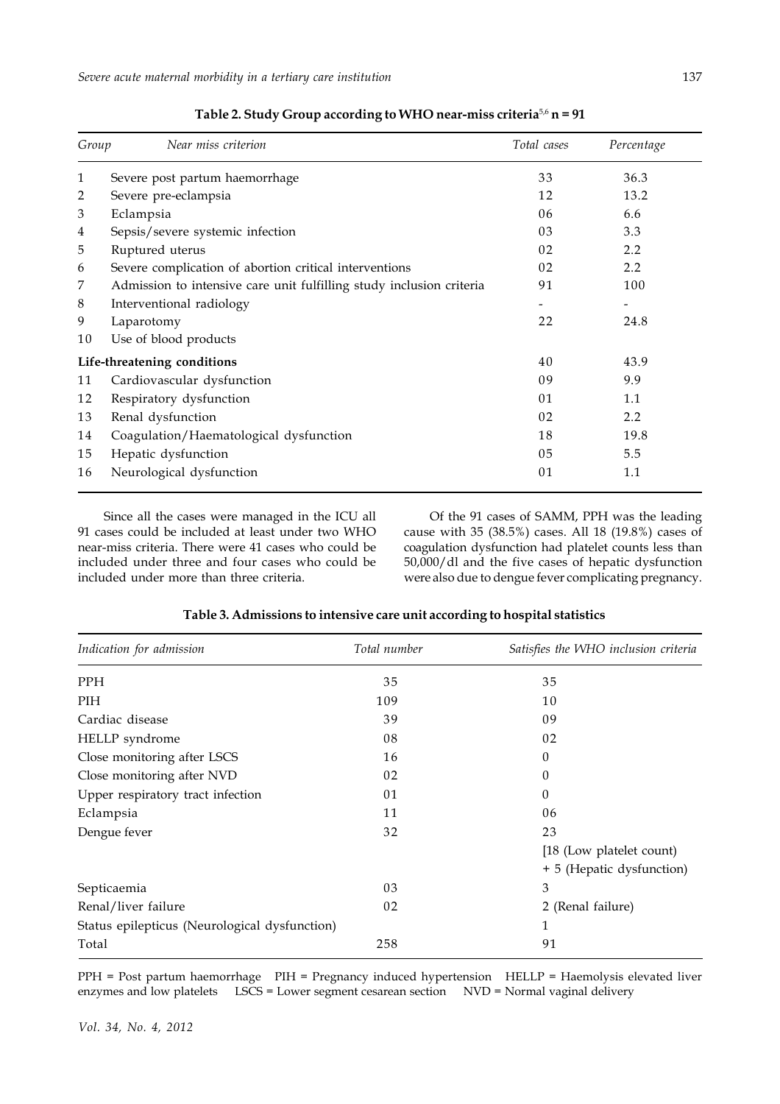| Group | Near miss criterion                                                  | Total cases | Percentage |
|-------|----------------------------------------------------------------------|-------------|------------|
| 1     | Severe post partum haemorrhage                                       | 33          | 36.3       |
| 2     | Severe pre-eclampsia                                                 | 12          | 13.2       |
| 3     | Eclampsia                                                            | 06          | 6.6        |
| 4     | Sepsis/severe systemic infection                                     | 03          | 3.3        |
| 5     | Ruptured uterus                                                      | 02          | 2.2        |
| 6     | Severe complication of abortion critical interventions               | 02          | 2.2        |
| 7     | Admission to intensive care unit fulfilling study inclusion criteria | 91          | 100        |
| 8     | Interventional radiology                                             |             |            |
| 9     | Laparotomy                                                           | 22          | 24.8       |
| 10    | Use of blood products                                                |             |            |
|       | Life-threatening conditions                                          | 40          | 43.9       |
| 11    | Cardiovascular dysfunction                                           | 09          | 9.9        |
| 12    | Respiratory dysfunction                                              | 01          | 1.1        |
| 13    | Renal dysfunction                                                    | 02          | 2.2        |
| 14    | Coagulation/Haematological dysfunction                               | 18          | 19.8       |
| 15    | Hepatic dysfunction                                                  | 05          | 5.5        |
| 16    | Neurological dysfunction                                             | 01          | 1.1        |

**Table 2. Study Group according to WHO near-miss criteria**5,6 **n = 91**

Since all the cases were managed in the ICU all 91 cases could be included at least under two WHO near-miss criteria. There were 41 cases who could be included under three and four cases who could be included under more than three criteria.

Of the 91 cases of SAMM, PPH was the leading cause with 35 (38.5%) cases. All 18 (19.8%) cases of coagulation dysfunction had platelet counts less than 50,000/dl and the five cases of hepatic dysfunction were also due to dengue fever complicating pregnancy.

| Indication for admission                      | Total number | Satisfies the WHO inclusion criteria |
|-----------------------------------------------|--------------|--------------------------------------|
| <b>PPH</b>                                    | 35           | 35                                   |
| PIH                                           | 109          | 10                                   |
| Cardiac disease                               | 39           | 09                                   |
| HELLP syndrome                                | 08           | 02                                   |
| Close monitoring after LSCS                   | 16           | $\theta$                             |
| Close monitoring after NVD                    | 02           | $\theta$                             |
| Upper respiratory tract infection             | 01           | $\theta$                             |
| Eclampsia                                     | 11           | 06                                   |
| Dengue fever                                  | 32           | 23                                   |
|                                               |              | [18 (Low platelet count)             |
|                                               |              | + 5 (Hepatic dysfunction)            |
| Septicaemia                                   | 03           | 3                                    |
| Renal/liver failure                           | 02           | 2 (Renal failure)                    |
| Status epilepticus (Neurological dysfunction) |              | $\mathbf{1}$                         |
| Total                                         | 258          | 91                                   |

## **Table 3. Admissions to intensive care unit according to hospital statistics**

PPH = Post partum haemorrhage PIH = Pregnancy induced hypertension HELLP = Haemolysis elevated liver enzymes and low platelets LSCS = Lower segment cesarean section NVD = Normal vaginal delivery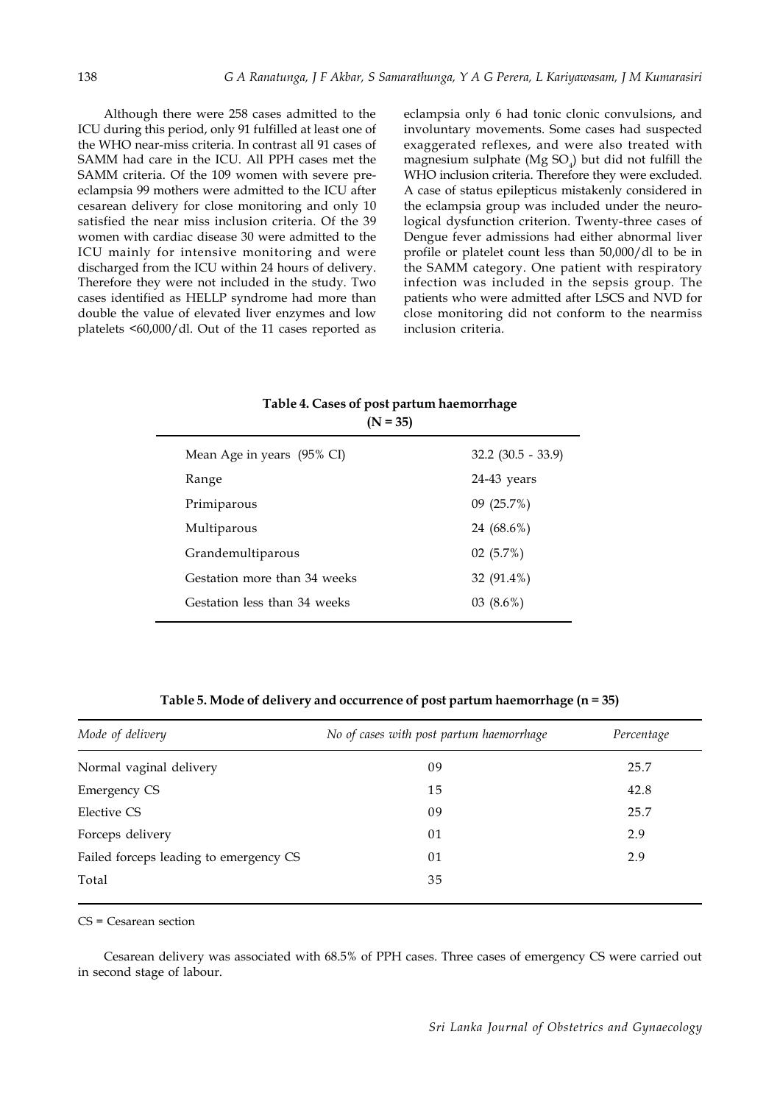Although there were 258 cases admitted to the ICU during this period, only 91 fulfilled at least one of the WHO near-miss criteria. In contrast all 91 cases of SAMM had care in the ICU. All PPH cases met the SAMM criteria. Of the 109 women with severe preeclampsia 99 mothers were admitted to the ICU after cesarean delivery for close monitoring and only 10 satisfied the near miss inclusion criteria. Of the 39 women with cardiac disease 30 were admitted to the ICU mainly for intensive monitoring and were discharged from the ICU within 24 hours of delivery. Therefore they were not included in the study. Two cases identified as HELLP syndrome had more than double the value of elevated liver enzymes and low platelets <60,000/dl. Out of the 11 cases reported as eclampsia only 6 had tonic clonic convulsions, and involuntary movements. Some cases had suspected exaggerated reflexes, and were also treated with magnesium sulphate (Mg SO $_{4}$ ) but did not fulfill the WHO inclusion criteria. Therefore they were excluded. A case of status epilepticus mistakenly considered in the eclampsia group was included under the neurological dysfunction criterion. Twenty-three cases of Dengue fever admissions had either abnormal liver profile or platelet count less than 50,000/dl to be in the SAMM category. One patient with respiratory infection was included in the sepsis group. The patients who were admitted after LSCS and NVD for close monitoring did not conform to the nearmiss inclusion criteria.

# **Table 4. Cases of post partum haemorrhage (N = 35)**

| Mean Age in years (95% CI)   | $32.2$ $(30.5 - 33.9)$ |
|------------------------------|------------------------|
| Range                        | 24-43 years            |
| Primiparous                  | 09(25.7%)              |
| Multiparous                  | 24 (68.6%)             |
| Grandemultiparous            | 02(5.7%)               |
| Gestation more than 34 weeks | 32 (91.4%)             |
| Gestation less than 34 weeks | $03(8.6\%)$            |
|                              |                        |

**Table 5. Mode of delivery and occurrence of post partum haemorrhage (n = 35)**

| Mode of delivery                       | No of cases with post partum haemorrhage | Percentage |
|----------------------------------------|------------------------------------------|------------|
| Normal vaginal delivery                | 09                                       | 25.7       |
| <b>Emergency CS</b>                    | 15                                       | 42.8       |
| Elective CS                            | 09                                       | 25.7       |
| Forceps delivery                       | 01                                       | 2.9        |
| Failed forceps leading to emergency CS | 01                                       | 2.9        |
| Total                                  | 35                                       |            |

CS = Cesarean section

Cesarean delivery was associated with 68.5% of PPH cases. Three cases of emergency CS were carried out in second stage of labour.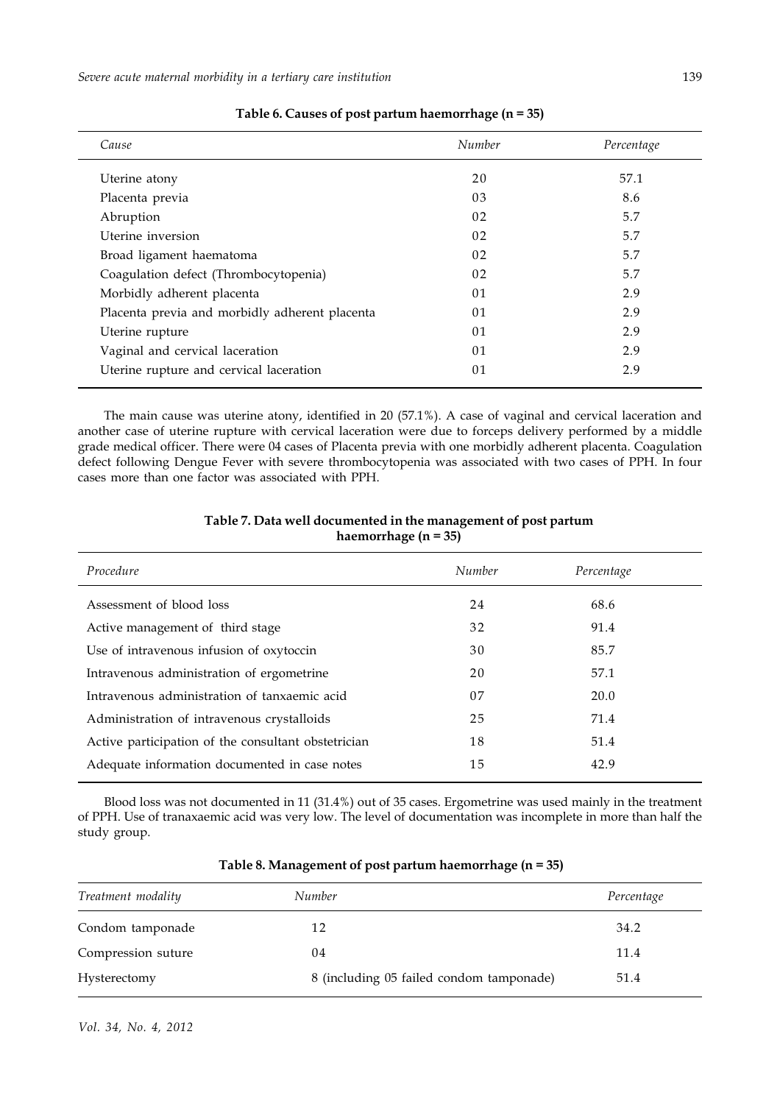| Cause                                          | Number | Percentage |
|------------------------------------------------|--------|------------|
| Uterine atony                                  | 20     | 57.1       |
| Placenta previa                                | 03     | 8.6        |
| Abruption                                      | 02     | 5.7        |
| Uterine inversion                              | 02     | 5.7        |
| Broad ligament haematoma                       | 02     | 5.7        |
| Coagulation defect (Thrombocytopenia)          | 02     | 5.7        |
| Morbidly adherent placenta                     | 01     | 2.9        |
| Placenta previa and morbidly adherent placenta | 01     | 2.9        |
| Uterine rupture                                | 01     | 2.9        |
| Vaginal and cervical laceration                | 01     | 2.9        |
| Uterine rupture and cervical laceration        | 01     | 2.9        |
|                                                |        |            |

**Table 6. Causes of post partum haemorrhage (n = 35)**

The main cause was uterine atony, identified in 20 (57.1%). A case of vaginal and cervical laceration and another case of uterine rupture with cervical laceration were due to forceps delivery performed by a middle grade medical officer. There were 04 cases of Placenta previa with one morbidly adherent placenta. Coagulation defect following Dengue Fever with severe thrombocytopenia was associated with two cases of PPH. In four cases more than one factor was associated with PPH.

## **Table 7. Data well documented in the management of post partum haemorrhage (n = 35)**

| Procedure                                           | Number | Percentage |  |
|-----------------------------------------------------|--------|------------|--|
| Assessment of blood loss                            | 24     | 68.6       |  |
| Active management of third stage                    | 32     | 91.4       |  |
| Use of intravenous infusion of oxytoccin            | 30     | 85.7       |  |
| Intravenous administration of ergometrine           | 20     | 57.1       |  |
| Intravenous administration of tanxaemic acid        | 07     | 20.0       |  |
| Administration of intravenous crystalloids          | 25     | 71.4       |  |
| Active participation of the consultant obstetrician | 18     | 51.4       |  |
| Adequate information documented in case notes       | 15     | 42.9       |  |
|                                                     |        |            |  |

Blood loss was not documented in 11 (31.4%) out of 35 cases. Ergometrine was used mainly in the treatment of PPH. Use of tranaxaemic acid was very low. The level of documentation was incomplete in more than half the study group.

| Treatment modality | Number                                   | Percentage |
|--------------------|------------------------------------------|------------|
| Condom tamponade   | 12                                       | 34.2       |
| Compression suture | 04                                       | 11.4       |
| Hysterectomy       | 8 (including 05 failed condom tamponade) | 51.4       |

## **Table 8. Management of post partum haemorrhage (n = 35)**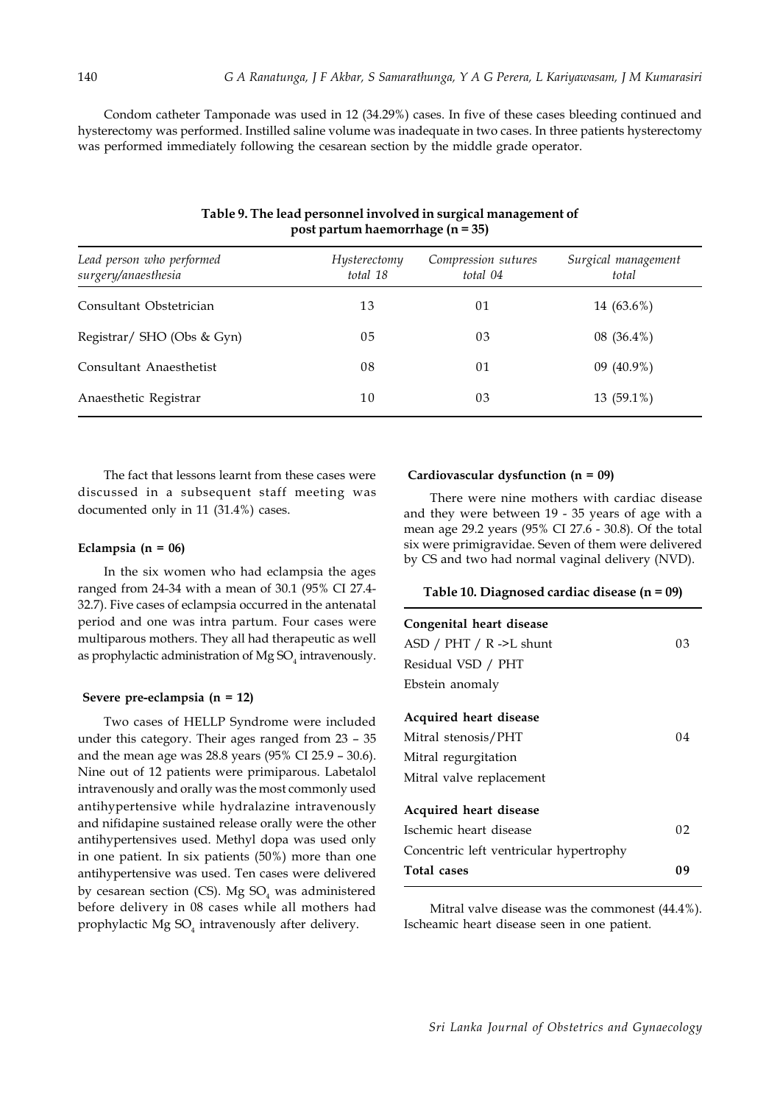Condom catheter Tamponade was used in 12 (34.29%) cases. In five of these cases bleeding continued and hysterectomy was performed. Instilled saline volume was inadequate in two cases. In three patients hysterectomy was performed immediately following the cesarean section by the middle grade operator.

| Lead person who performed<br>surgery/anaesthesia | Hysterectomy<br>total 18 | Compression sutures<br>total 04 | Surgical management<br>total |
|--------------------------------------------------|--------------------------|---------------------------------|------------------------------|
| Consultant Obstetrician                          | 13                       | 01                              | 14 (63.6%)                   |
| Registrar/ SHO (Obs & Gyn)                       | 05                       | 03                              | $08(36.4\%)$                 |
| Consultant Anaesthetist                          | 08                       | 01                              | 09 $(40.9\%)$                |
| Anaesthetic Registrar                            | 10                       | 03                              | 13 (59.1%)                   |

## **Table 9. The lead personnel involved in surgical management of post partum haemorrhage (n = 35)**

The fact that lessons learnt from these cases were discussed in a subsequent staff meeting was documented only in 11 (31.4%) cases.

### **Eclampsia (n = 06)**

In the six women who had eclampsia the ages ranged from 24-34 with a mean of 30.1 (95% CI 27.4- 32.7). Five cases of eclampsia occurred in the antenatal period and one was intra partum. Four cases were multiparous mothers. They all had therapeutic as well as prophylactic administration of  $Mg$  SO<sub>4</sub> intravenously.

#### **Severe pre-eclampsia (n = 12)**

Two cases of HELLP Syndrome were included under this category. Their ages ranged from 23 – 35 and the mean age was 28.8 years (95% CI 25.9 – 30.6). Nine out of 12 patients were primiparous. Labetalol intravenously and orally was the most commonly used antihypertensive while hydralazine intravenously and nifidapine sustained release orally were the other antihypertensives used. Methyl dopa was used only in one patient. In six patients (50%) more than one antihypertensive was used. Ten cases were delivered by cesarean section (CS). Mg  $SO<sub>4</sub>$  was administered before delivery in 08 cases while all mothers had prophylactic Mg  $\mathrm{SO}_4$  intravenously after delivery.

### **Cardiovascular dysfunction (n = 09)**

There were nine mothers with cardiac disease and they were between 19 - 35 years of age with a mean age 29.2 years (95% CI 27.6 - 30.8). Of the total six were primigravidae. Seven of them were delivered by CS and two had normal vaginal delivery (NVD).

#### **Table 10. Diagnosed cardiac disease (n = 09)**

| Congenital heart disease                |    |
|-----------------------------------------|----|
| ASD / PHT / R ->L shunt                 | 03 |
| Residual VSD / PHT                      |    |
| Ebstein anomaly                         |    |
| <b>Acquired heart disease</b>           |    |
| Mitral stenosis/PHT                     | 04 |
| Mitral regurgitation                    |    |
| Mitral valve replacement                |    |
| Acquired heart disease                  |    |
| Ischemic heart disease                  | 02 |
| Concentric left ventricular hypertrophy |    |
| Total cases                             | 09 |

Mitral valve disease was the commonest (44.4%). Ischeamic heart disease seen in one patient.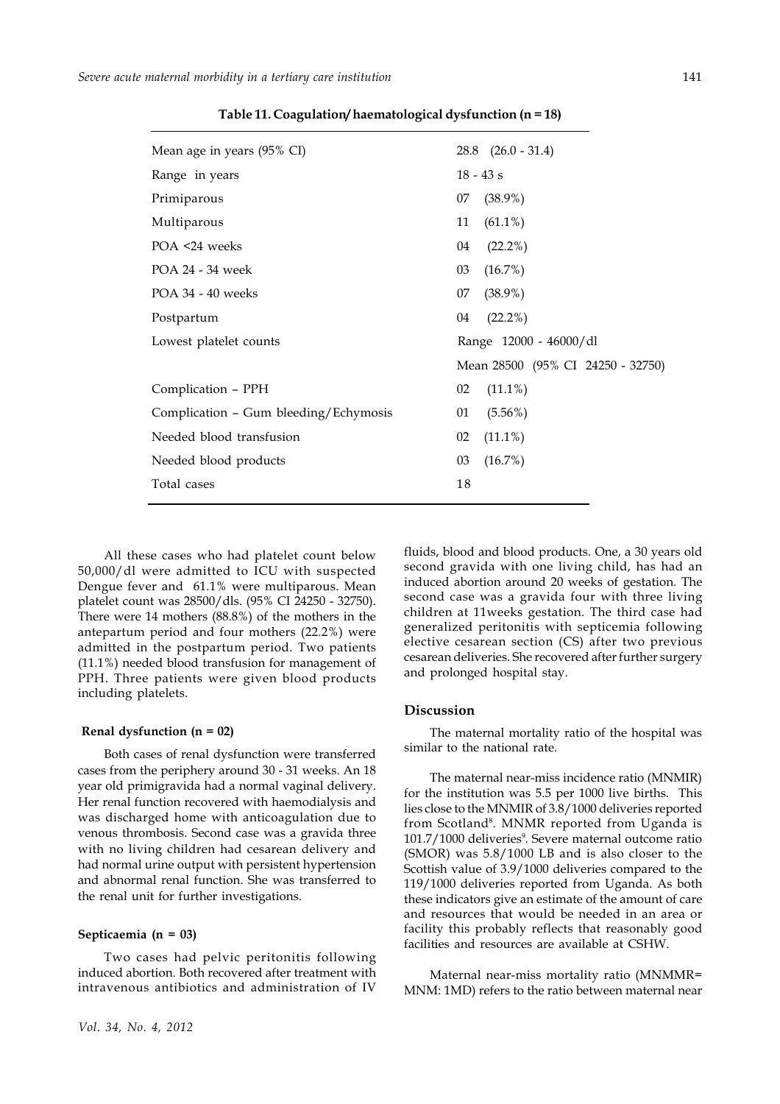| Mean age in years (95% CI)            | $28.8$ $(26.0 - 31.4)$            |
|---------------------------------------|-----------------------------------|
| Range in years                        | $18 - 43 s$                       |
| Primiparous                           | $(38.9\%)$<br>07                  |
| Multiparous                           | 11<br>$(61.1\%)$                  |
| POA <24 weeks                         | $(22.2\%)$<br>04                  |
| POA 24 - 34 week                      | (16.7%)<br>03                     |
| POA 34 - 40 weeks                     | $(38.9\%)$<br>07                  |
| Postpartum                            | $(22.2\%)$<br>04                  |
| Lowest platelet counts                | Range 12000 - 46000/dl            |
|                                       | Mean 28500 (95% CI 24250 - 32750) |
| Complication - PPH                    | 02<br>$(11.1\%)$                  |
| Complication - Gum bleeding/Echymosis | $(5.56\%)$<br>01                  |
| Needed blood transfusion              | 02<br>$(11.1\%)$                  |
| Needed blood products                 | 03<br>(16.7%)                     |
| Total cases                           | 18                                |
|                                       |                                   |

**Table 11. Coagulation/ haematological dysfunction (n = 18)**

All these cases who had platelet count below 50,000/dl were admitted to ICU with suspected Dengue fever and 61.1% were multiparous. Mean platelet count was 28500/dls. (95% CI 24250 - 32750). There were 14 mothers (88.8%) of the mothers in the antepartum period and four mothers (22.2%) were admitted in the postpartum period. Two patients (11.1%) needed blood transfusion for management of PPH. Three patients were given blood products including platelets.

#### **Renal dysfunction (n = 02)**

Both cases of renal dysfunction were transferred cases from the periphery around 30 - 31 weeks. An 18 year old primigravida had a normal vaginal delivery. Her renal function recovered with haemodialysis and was discharged home with anticoagulation due to venous thrombosis. Second case was a gravida three with no living children had cesarean delivery and had normal urine output with persistent hypertension and abnormal renal function. She was transferred to the renal unit for further investigations.

### **Septicaemia (n = 03)**

Two cases had pelvic peritonitis following induced abortion. Both recovered after treatment with intravenous antibiotics and administration of IV

fluids, blood and blood products. One, a 30 years old second gravida with one living child, has had an induced abortion around 20 weeks of gestation. The second case was a gravida four with three living children at 11weeks gestation. The third case had generalized peritonitis with septicemia following elective cesarean section (CS) after two previous cesarean deliveries. She recovered after further surgery and prolonged hospital stay.

#### **Discussion**

The maternal mortality ratio of the hospital was similar to the national rate.

The maternal near-miss incidence ratio (MNMIR) for the institution was 5.5 per 1000 live births. This lies close to the MNMIR of 3.8/1000 deliveries reported from Scotland<sup>8</sup>. MNMR reported from Uganda is 101.7/1000 deliveries<sup>9</sup>. Severe maternal outcome ratio (SMOR) was 5.8/1000 LB and is also closer to the Scottish value of 3.9/1000 deliveries compared to the 119/1000 deliveries reported from Uganda. As both these indicators give an estimate of the amount of care and resources that would be needed in an area or facility this probably reflects that reasonably good facilities and resources are available at CSHW.

Maternal near-miss mortality ratio (MNMMR= MNM: 1MD) refers to the ratio between maternal near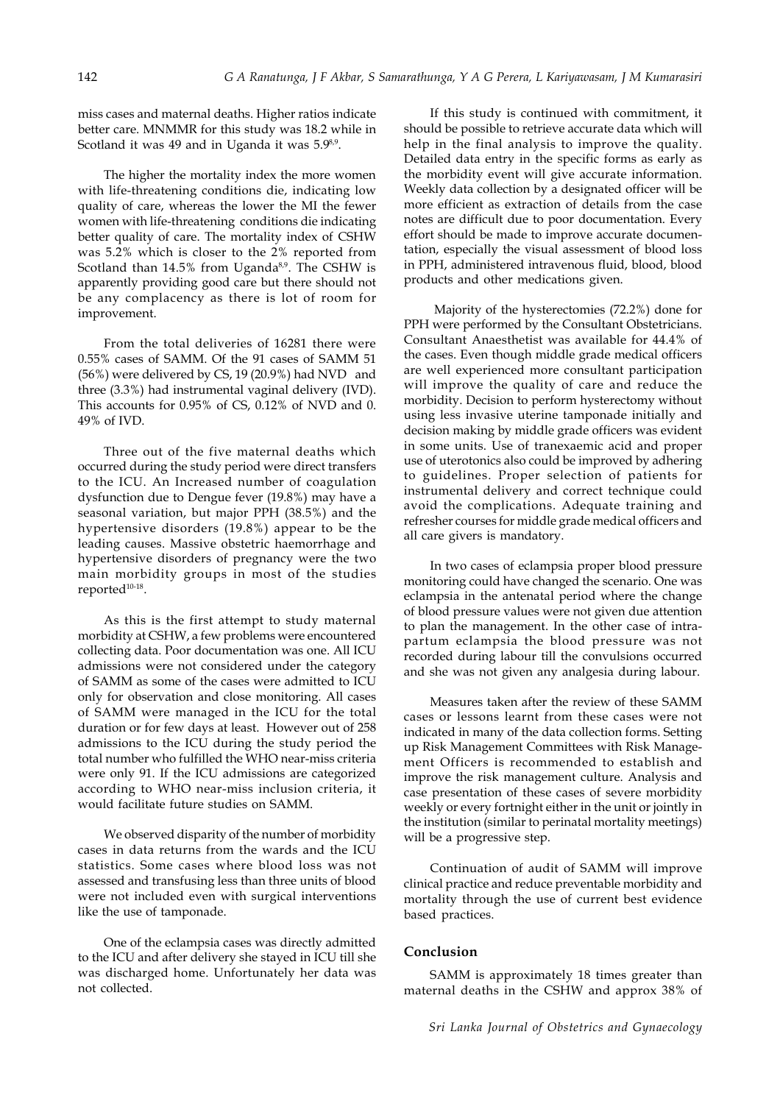miss cases and maternal deaths. Higher ratios indicate better care. MNMMR for this study was 18.2 while in Scotland it was 49 and in Uganda it was 5.9<sup>8,9</sup>.

The higher the mortality index the more women with life-threatening conditions die, indicating low quality of care, whereas the lower the MI the fewer women with life-threatening conditions die indicating better quality of care. The mortality index of CSHW was 5.2% which is closer to the 2% reported from Scotland than  $14.5\%$  from Uganda $8.9$ . The CSHW is apparently providing good care but there should not be any complacency as there is lot of room for improvement.

From the total deliveries of 16281 there were 0.55% cases of SAMM. Of the 91 cases of SAMM 51 (56%) were delivered by CS, 19 (20.9%) had NVD and three (3.3%) had instrumental vaginal delivery (IVD). This accounts for 0.95% of CS, 0.12% of NVD and 0. 49% of IVD.

Three out of the five maternal deaths which occurred during the study period were direct transfers to the ICU. An Increased number of coagulation dysfunction due to Dengue fever (19.8%) may have a seasonal variation, but major PPH (38.5%) and the hypertensive disorders (19.8%) appear to be the leading causes. Massive obstetric haemorrhage and hypertensive disorders of pregnancy were the two main morbidity groups in most of the studies reported<sup>10-18</sup>.

As this is the first attempt to study maternal morbidity at CSHW, a few problems were encountered collecting data. Poor documentation was one. All ICU admissions were not considered under the category of SAMM as some of the cases were admitted to ICU only for observation and close monitoring. All cases of SAMM were managed in the ICU for the total duration or for few days at least. However out of 258 admissions to the ICU during the study period the total number who fulfilled the WHO near-miss criteria were only 91. If the ICU admissions are categorized according to WHO near-miss inclusion criteria, it would facilitate future studies on SAMM.

We observed disparity of the number of morbidity cases in data returns from the wards and the ICU statistics. Some cases where blood loss was not assessed and transfusing less than three units of blood were not included even with surgical interventions like the use of tamponade.

One of the eclampsia cases was directly admitted to the ICU and after delivery she stayed in ICU till she was discharged home. Unfortunately her data was not collected.

If this study is continued with commitment, it should be possible to retrieve accurate data which will help in the final analysis to improve the quality. Detailed data entry in the specific forms as early as the morbidity event will give accurate information. Weekly data collection by a designated officer will be more efficient as extraction of details from the case notes are difficult due to poor documentation. Every effort should be made to improve accurate documentation, especially the visual assessment of blood loss in PPH, administered intravenous fluid, blood, blood products and other medications given.

 Majority of the hysterectomies (72.2%) done for PPH were performed by the Consultant Obstetricians. Consultant Anaesthetist was available for 44.4% of the cases. Even though middle grade medical officers are well experienced more consultant participation will improve the quality of care and reduce the morbidity. Decision to perform hysterectomy without using less invasive uterine tamponade initially and decision making by middle grade officers was evident in some units. Use of tranexaemic acid and proper use of uterotonics also could be improved by adhering to guidelines. Proper selection of patients for instrumental delivery and correct technique could avoid the complications. Adequate training and refresher courses for middle grade medical officers and all care givers is mandatory.

In two cases of eclampsia proper blood pressure monitoring could have changed the scenario. One was eclampsia in the antenatal period where the change of blood pressure values were not given due attention to plan the management. In the other case of intrapartum eclampsia the blood pressure was not recorded during labour till the convulsions occurred and she was not given any analgesia during labour.

Measures taken after the review of these SAMM cases or lessons learnt from these cases were not indicated in many of the data collection forms. Setting up Risk Management Committees with Risk Management Officers is recommended to establish and improve the risk management culture. Analysis and case presentation of these cases of severe morbidity weekly or every fortnight either in the unit or jointly in the institution (similar to perinatal mortality meetings) will be a progressive step.

Continuation of audit of SAMM will improve clinical practice and reduce preventable morbidity and mortality through the use of current best evidence based practices.

## **Conclusion**

SAMM is approximately 18 times greater than maternal deaths in the CSHW and approx 38% of